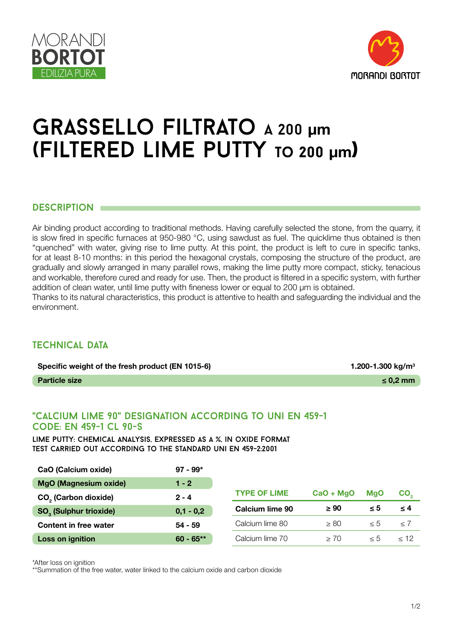



# grassello filtrato a 200 **μm** (filtered lime putty **to 200 μm)**

#### DESCRIPTION **OF**

Air binding product according to traditional methods. Having carefully selected the stone, from the quarry, it is slow fired in specific furnaces at 950-980 °C, using sawdust as fuel. The quicklime thus obtained is then "quenched" with water, giving rise to lime putty. At this point, the product is left to cure in specific tanks, for at least 8-10 months: in this period the hexagonal crystals, composing the structure of the product, are gradually and slowly arranged in many parallel rows, making the lime putty more compact, sticky, tenacious and workable, therefore cured and ready for use. Then, the product is filtered in a specific system, with further addition of clean water, until lime putty with fineness lower or equal to 200 μm is obtained. Thanks to its natural characteristics, this product is attentive to health and safeguarding the individual and the environment.

### **TECHNICAL DATA**

| Specific weight of the fresh product (EN 1015-6) | 1.200-1.300 kg/m <sup>3</sup> |
|--------------------------------------------------|-------------------------------|
| <b>Particle size</b>                             | $\leq$ 0.2 mm                 |

### "calcium lime 90" designation according to uni en 459-1 code: en 459-1 cl 90-s

lime putty: chemical analysis, expressed as a %, in oxide format test carried out according to the standard uni en 459-2:2001

| CaO (Calcium oxide)                      | $97 - 99*$  |                        |             |            |                 |
|------------------------------------------|-------------|------------------------|-------------|------------|-----------------|
| <b>MgO (Magnesium oxide)</b>             | $1 - 2$     |                        |             |            |                 |
| CO <sub>2</sub> (Carbon dioxide)         | $2 - 4$     | <b>TYPE OF LIME</b>    | $CaO + MgO$ | <b>MaO</b> | CO <sub>2</sub> |
|                                          |             |                        |             |            |                 |
| <b>SO<sub>3</sub></b> (Sulphur trioxide) | $0,1 - 0,2$ | <b>Calcium lime 90</b> | $\geq 90$   | $\leq 5$   | ≤ 4             |
| <b>Content in free water</b>             | $54 - 59$   | Calcium lime 80        | > 80        | $\leq 5$   | < 7             |

\*After loss on ignition

\*\*Summation of the free water, water linked to the calcium oxide and carbon dioxide